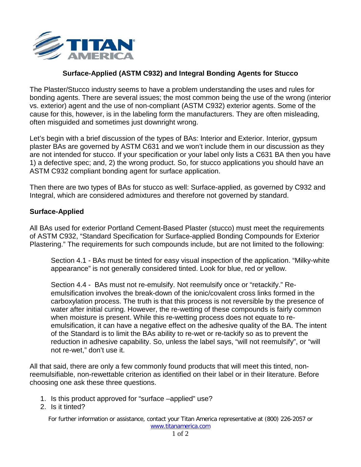

## **Surface-Applied (ASTM C932) and Integral Bonding Agents for Stucco**

The Plaster/Stucco industry seems to have a problem understanding the uses and rules for bonding agents. There are several issues; the most common being the use of the wrong (interior vs. exterior) agent and the use of non-compliant (ASTM C932) exterior agents. Some of the cause for this, however, is in the labeling form the manufacturers. They are often misleading, often misguided and sometimes just downright wrong.

Let's begin with a brief discussion of the types of BAs: Interior and Exterior. Interior, gypsum plaster BAs are governed by ASTM C631 and we won't include them in our discussion as they are not intended for stucco. If your specification or your label only lists a C631 BA then you have 1) a defective spec; and, 2) the wrong product. So, for stucco applications you should have an ASTM C932 compliant bonding agent for surface application.

Then there are two types of BAs for stucco as well: Surface-applied, as governed by C932 and Integral, which are considered admixtures and therefore not governed by standard.

## **Surface-Applied**

All BAs used for exterior Portland Cement-Based Plaster (stucco) must meet the requirements of ASTM C932, "Standard Specification for Surface-applied Bonding Compounds for Exterior Plastering." The requirements for such compounds include, but are not limited to the following:

Section 4.1 - BAs must be tinted for easy visual inspection of the application. "Milky-white appearance" is not generally considered tinted. Look for blue, red or yellow.

Section 4.4 - BAs must not re-emulsify. Not reemulsify once or "retackify." Reemulsification involves the break-down of the ionic/covalent cross links formed in the carboxylation process. The truth is that this process is not reversible by the presence of water after initial curing. However, the re-wetting of these compounds is fairly common when moisture is present. While this re-wetting process does not equate to reemulsification, it can have a negative effect on the adhesive quality of the BA. The intent of the Standard is to limit the BAs ability to re-wet or re-tackify so as to prevent the reduction in adhesive capability. So, unless the label says, "will not reemulsify", or "will not re-wet," don't use it.

All that said, there are only a few commonly found products that will meet this tinted, nonreemulsifiable, non-rewettable criterion as identified on their label or in their literature. Before choosing one ask these three questions.

- 1. Is this product approved for "surface –applied" use?
- 2. Is it tinted?

For further information or assistance, contact your Titan America representative at (800) 226-2057 or [www.titanamerica.com](http://www.titanamerica.com/)